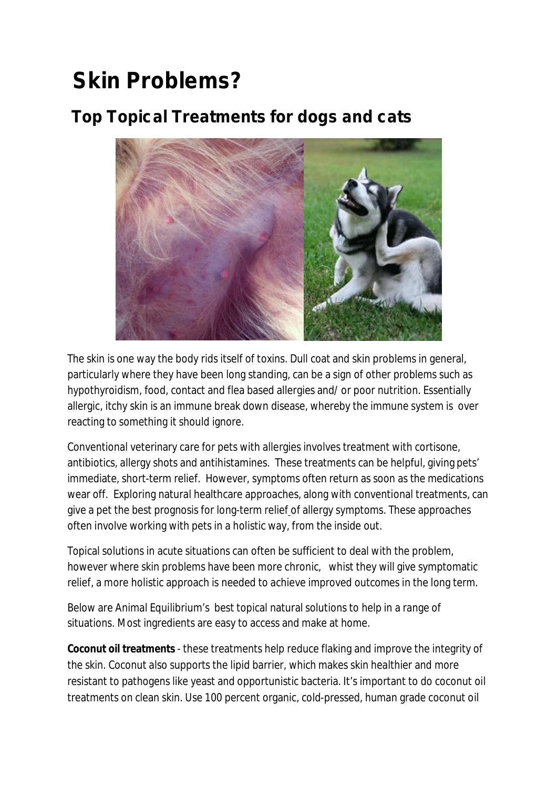# **Skin Problems?**

# **Top Topical Treatments for dogs and cats**



The skin is one way the body rids itself of toxins. Dull coat and skin problems in general, particularly where they have been long standing, can be a sign of other problems such as hypothyroidism, food, contact and flea based allergies and/ or poor nutrition. Essentially allergic, itchy skin is an immune break down disease, whereby the immune system is over reacting to something it should ignore.

Conventional veterinary care for pets with allergies involves treatment with cortisone, antibiotics, allergy shots and antihistamines. These treatments can be helpful, giving pets' immediate, short-term relief. However, symptoms often return as soon as the medications wear off. Exploring natural healthcare approaches, along with conventional treatments, can give a pet the best prognosis for long-term relief of allergy symptoms. These approaches often involve working with pets in a holistic way, from the inside out.

Topical solutions in acute situations can often be sufficient to deal with the problem, however where skin problems have been more chronic, whist they will give symptomatic relief, a more holistic approach is needed to achieve improved outcomes in the long term.

Below are Animal Equilibrium's best topical natural solutions to help in a range of situations. Most ingredients are easy to access and make at home.

**Coconut oil treatments** - these treatments help reduce flaking and improve the integrity of the skin. Coconut also supports the lipid barrier, which makes skin healthier and more resistant to pathogens like yeast and opportunistic bacteria. It's important to do coconut oil treatments on clean skin. Use 100 percent organic, cold-pressed, human grade coconut oil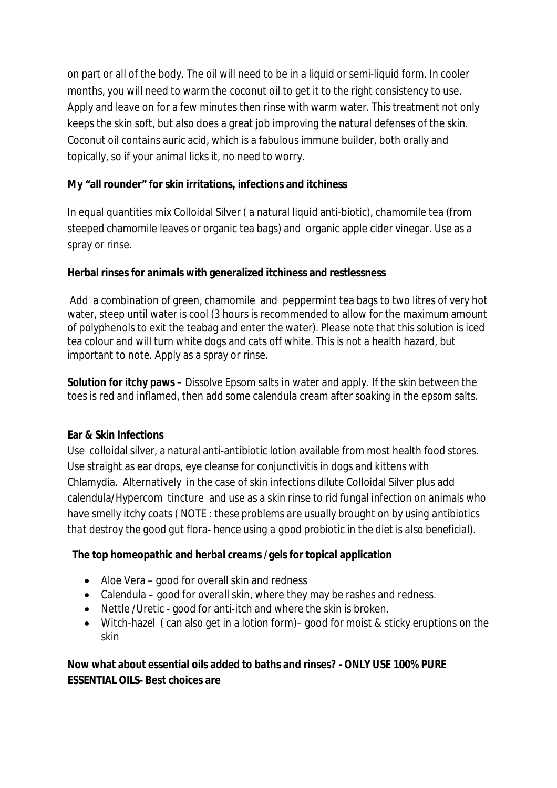on part or all of the body. The oil will need to be in a liquid or semi-liquid form. In cooler months, you will need to warm the coconut oil to get it to the right consistency to use. Apply and leave on for a few minutes then rinse with warm water. This treatment not only keeps the skin soft, but also does a great job improving the natural defenses of the skin. Coconut oil contains auric acid, which is a fabulous immune builder, both orally and topically, so if your animal licks it, no need to worry.

#### **My "all rounder" for skin irritations, infections and itchiness**

In equal quantities mix Colloidal Silver ( a natural liquid anti-biotic), chamomile tea (from steeped chamomile leaves or organic tea bags) and organic apple cider vinegar. Use as a spray or rinse.

#### **Herbal rinses for animals with generalized itchiness and restlessness**

Add a combination of green, chamomile and peppermint tea bags to two litres of very hot water, steep until water is cool (3 hours is recommended to allow for the maximum amount of polyphenols to exit the teabag and enter the water). Please note that this solution is iced tea colour and will turn white dogs and cats off white. This is not a health hazard, but important to note. Apply as a spray or rinse.

**Solution for itchy paws –** Dissolve Epsom salts in water and apply. If the skin between the toes is red and inflamed, then add some calendula cream after soaking in the epsom salts.

#### **Ear & Skin Infections**

Use colloidal silver, a natural anti-antibiotic lotion available from most health food stores. Use straight as ear drops, eye cleanse for conjunctivitis in dogs and kittens with Chlamydia. Alternatively in the case of skin infections dilute Colloidal Silver plus add calendula/Hypercom tincture and use as a skin rinse to rid fungal infection on animals who have smelly itchy coats *( NOTE : these problems are usually brought on by using antibiotics that destroy the good gut flora- hence using a good probiotic in the diet is also beneficial).* 

# **The top homeopathic and herbal creams /gels for topical application**

- Aloe Vera good for overall skin and redness
- Calendula good for overall skin, where they may be rashes and redness.
- Nettle /Uretic good for anti-itch and where the skin is broken.
- Witch-hazel ( can also get in a lotion form)– good for moist & sticky eruptions on the skin

# **Now what about essential oils added to baths and rinses? - ONLY USE 100% PURE ESSENTIAL OILS- Best choices are**